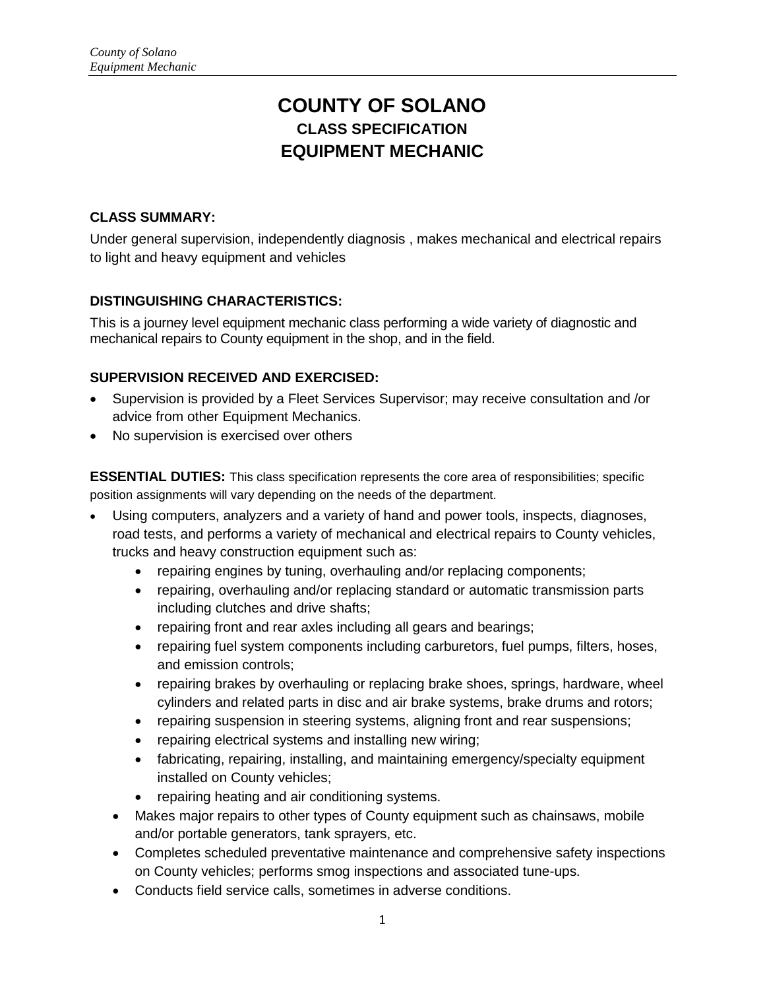# **COUNTY OF SOLANO CLASS SPECIFICATION EQUIPMENT MECHANIC**

## **CLASS SUMMARY:**

Under general supervision, independently diagnosis , makes mechanical and electrical repairs to light and heavy equipment and vehicles

# **DISTINGUISHING CHARACTERISTICS:**

This is a journey level equipment mechanic class performing a wide variety of diagnostic and mechanical repairs to County equipment in the shop, and in the field.

# **SUPERVISION RECEIVED AND EXERCISED:**

- Supervision is provided by a Fleet Services Supervisor; may receive consultation and /or advice from other Equipment Mechanics.
- No supervision is exercised over others

**ESSENTIAL DUTIES:** This class specification represents the core area of responsibilities; specific position assignments will vary depending on the needs of the department.

- Using computers, analyzers and a variety of hand and power tools, inspects, diagnoses, road tests, and performs a variety of mechanical and electrical repairs to County vehicles, trucks and heavy construction equipment such as:
	- repairing engines by tuning, overhauling and/or replacing components;
	- repairing, overhauling and/or replacing standard or automatic transmission parts including clutches and drive shafts;
	- repairing front and rear axles including all gears and bearings;
	- repairing fuel system components including carburetors, fuel pumps, filters, hoses, and emission controls;
	- repairing brakes by overhauling or replacing brake shoes, springs, hardware, wheel cylinders and related parts in disc and air brake systems, brake drums and rotors;
	- repairing suspension in steering systems, aligning front and rear suspensions;
	- repairing electrical systems and installing new wiring;
	- fabricating, repairing, installing, and maintaining emergency/specialty equipment installed on County vehicles;
	- repairing heating and air conditioning systems.
	- Makes major repairs to other types of County equipment such as chainsaws, mobile and/or portable generators, tank sprayers, etc.
	- Completes scheduled preventative maintenance and comprehensive safety inspections on County vehicles; performs smog inspections and associated tune-ups.
	- Conducts field service calls, sometimes in adverse conditions.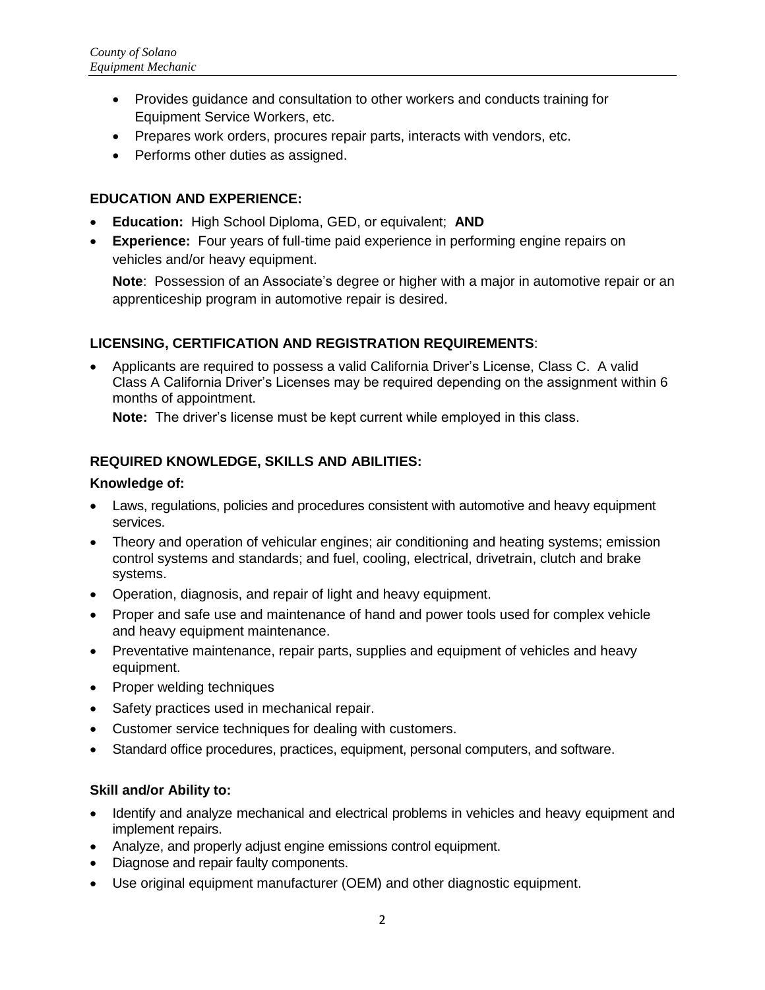- Provides guidance and consultation to other workers and conducts training for Equipment Service Workers, etc.
- Prepares work orders, procures repair parts, interacts with vendors, etc.
- Performs other duties as assigned.

## **EDUCATION AND EXPERIENCE:**

- **Education:** High School Diploma, GED, or equivalent; **AND**
- **Experience:** Four years of full-time paid experience in performing engine repairs on vehicles and/or heavy equipment.

**Note**: Possession of an Associate's degree or higher with a major in automotive repair or an apprenticeship program in automotive repair is desired.

## **LICENSING, CERTIFICATION AND REGISTRATION REQUIREMENTS**:

• Applicants are required to possess a valid California Driver's License, Class C. A valid Class A California Driver's Licenses may be required depending on the assignment within 6 months of appointment.

**Note:** The driver's license must be kept current while employed in this class.

## **REQUIRED KNOWLEDGE, SKILLS AND ABILITIES:**

#### **Knowledge of:**

- Laws, regulations, policies and procedures consistent with automotive and heavy equipment services.
- Theory and operation of vehicular engines; air conditioning and heating systems; emission control systems and standards; and fuel, cooling, electrical, drivetrain, clutch and brake systems.
- Operation, diagnosis, and repair of light and heavy equipment.
- Proper and safe use and maintenance of hand and power tools used for complex vehicle and heavy equipment maintenance.
- Preventative maintenance, repair parts, supplies and equipment of vehicles and heavy equipment.
- Proper welding techniques
- Safety practices used in mechanical repair.
- Customer service techniques for dealing with customers.
- Standard office procedures, practices, equipment, personal computers, and software.

#### **Skill and/or Ability to:**

- Identify and analyze mechanical and electrical problems in vehicles and heavy equipment and implement repairs.
- Analyze, and properly adjust engine emissions control equipment.
- Diagnose and repair faulty components.
- Use original equipment manufacturer (OEM) and other diagnostic equipment.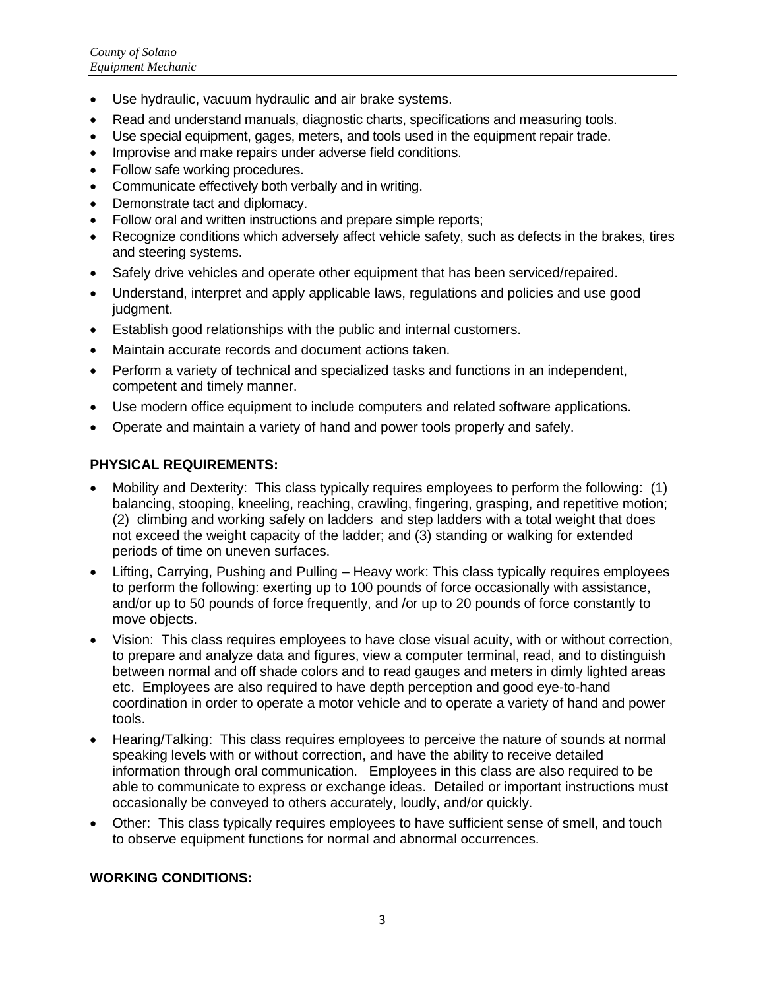- Use hydraulic, vacuum hydraulic and air brake systems.
- Read and understand manuals, diagnostic charts, specifications and measuring tools.
- Use special equipment, gages, meters, and tools used in the equipment repair trade.
- Improvise and make repairs under adverse field conditions.
- Follow safe working procedures.
- Communicate effectively both verbally and in writing.
- Demonstrate tact and diplomacy.
- Follow oral and written instructions and prepare simple reports;
- Recognize conditions which adversely affect vehicle safety, such as defects in the brakes, tires and steering systems.
- Safely drive vehicles and operate other equipment that has been serviced/repaired.
- Understand, interpret and apply applicable laws, regulations and policies and use good judgment.
- Establish good relationships with the public and internal customers.
- Maintain accurate records and document actions taken.
- Perform a variety of technical and specialized tasks and functions in an independent, competent and timely manner.
- Use modern office equipment to include computers and related software applications.
- Operate and maintain a variety of hand and power tools properly and safely.

## **PHYSICAL REQUIREMENTS:**

- Mobility and Dexterity: This class typically requires employees to perform the following: (1) balancing, stooping, kneeling, reaching, crawling, fingering, grasping, and repetitive motion; (2) climbing and working safely on ladders and step ladders with a total weight that does not exceed the weight capacity of the ladder; and (3) standing or walking for extended periods of time on uneven surfaces.
- Lifting, Carrying, Pushing and Pulling Heavy work: This class typically requires employees to perform the following: exerting up to 100 pounds of force occasionally with assistance, and/or up to 50 pounds of force frequently, and /or up to 20 pounds of force constantly to move objects.
- Vision: This class requires employees to have close visual acuity, with or without correction, to prepare and analyze data and figures, view a computer terminal, read, and to distinguish between normal and off shade colors and to read gauges and meters in dimly lighted areas etc. Employees are also required to have depth perception and good eye-to-hand coordination in order to operate a motor vehicle and to operate a variety of hand and power tools.
- Hearing/Talking: This class requires employees to perceive the nature of sounds at normal speaking levels with or without correction, and have the ability to receive detailed information through oral communication. Employees in this class are also required to be able to communicate to express or exchange ideas. Detailed or important instructions must occasionally be conveyed to others accurately, loudly, and/or quickly.
- Other: This class typically requires employees to have sufficient sense of smell, and touch to observe equipment functions for normal and abnormal occurrences.

## **WORKING CONDITIONS:**